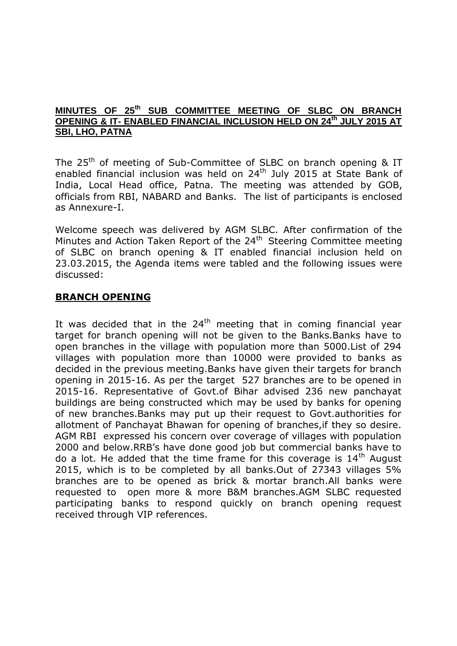#### **MINUTES OF 25th SUB COMMITTEE MEETING OF SLBC ON BRANCH OPENING & IT- ENABLED FINANCIAL INCLUSION HELD ON 24th JULY 2015 AT SBI, LHO, PATNA**

The  $25<sup>th</sup>$  of meeting of Sub-Committee of SLBC on branch opening & IT enabled financial inclusion was held on 24<sup>th</sup> July 2015 at State Bank of India, Local Head office, Patna. The meeting was attended by GOB, officials from RBI, NABARD and Banks. The list of participants is enclosed as Annexure-I.

Welcome speech was delivered by AGM SLBC. After confirmation of the Minutes and Action Taken Report of the 24<sup>th</sup> Steering Committee meeting of SLBC on branch opening & IT enabled financial inclusion held on 23.03.2015, the Agenda items were tabled and the following issues were discussed:

## **BRANCH OPENING**

It was decided that in the  $24<sup>th</sup>$  meeting that in coming financial year target for branch opening will not be given to the Banks.Banks have to open branches in the village with population more than 5000.List of 294 villages with population more than 10000 were provided to banks as decided in the previous meeting.Banks have given their targets for branch opening in 2015-16. As per the target 527 branches are to be opened in 2015-16. Representative of Govt.of Bihar advised 236 new panchayat buildings are being constructed which may be used by banks for opening of new branches.Banks may put up their request to Govt.authorities for allotment of Panchayat Bhawan for opening of branches,if they so desire. AGM RBI expressed his concern over coverage of villages with population 2000 and below.RRB's have done good job but commercial banks have to do a lot. He added that the time frame for this coverage is  $14<sup>th</sup>$  August 2015, which is to be completed by all banks.Out of 27343 villages 5% branches are to be opened as brick & mortar branch.All banks were requested to open more & more B&M branches.AGM SLBC requested participating banks to respond quickly on branch opening request received through VIP references.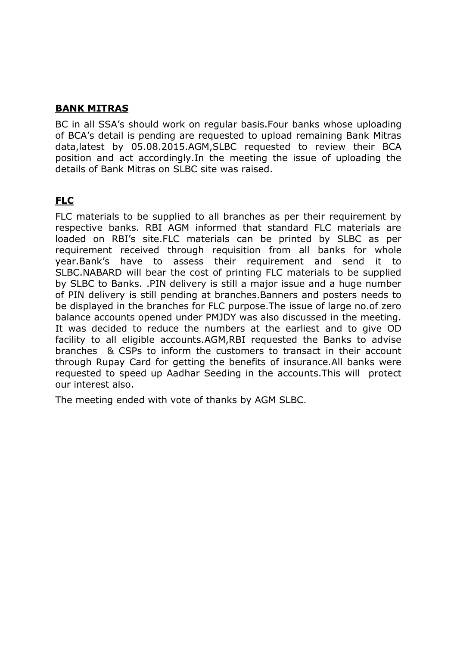## **BANK MITRAS**

BC in all SSA's should work on regular basis.Four banks whose uploading of BCA's detail is pending are requested to upload remaining Bank Mitras data,latest by 05.08.2015.AGM,SLBC requested to review their BCA position and act accordingly.In the meeting the issue of uploading the details of Bank Mitras on SLBC site was raised.

# **FLC**

FLC materials to be supplied to all branches as per their requirement by respective banks. RBI AGM informed that standard FLC materials are loaded on RBI's site.FLC materials can be printed by SLBC as per requirement received through requisition from all banks for whole year.Bank's have to assess their requirement and send it to SLBC.NABARD will bear the cost of printing FLC materials to be supplied by SLBC to Banks. .PIN delivery is still a major issue and a huge number of PIN delivery is still pending at branches.Banners and posters needs to be displayed in the branches for FLC purpose.The issue of large no.of zero balance accounts opened under PMJDY was also discussed in the meeting. It was decided to reduce the numbers at the earliest and to give OD facility to all eligible accounts.AGM,RBI requested the Banks to advise branches & CSPs to inform the customers to transact in their account through Rupay Card for getting the benefits of insurance.All banks were requested to speed up Aadhar Seeding in the accounts.This will protect our interest also.

The meeting ended with vote of thanks by AGM SLBC.